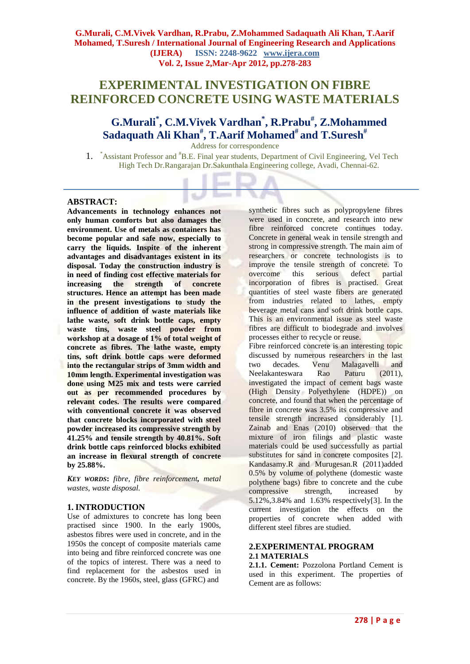# **EXPERIMENTAL INVESTIGATION ON FIBRE REINFORCED CONCRETE USING WASTE MATERIALS**

# **G.Murali\* , C.M.Vivek Vardhan\* , R.Prabu# , Z.Mohammed Sadaquath Ali Khan# , T.Aarif Mohamed# and T.Suresh#**

Address for correspondence

1. \*Assistant Professor and #B.E. Final year students, Department of Civil Engineering, Vel Tech High Tech Dr.Rangarajan Dr.Sakunthala Engineering college, Avadi, Chennai-62.

#### **ABSTRACT:**

**Advancements in technology enhances not only human comforts but also damages the environment. Use of metals as containers has become popular and safe now, especially to carry the liquids. Inspite of the inherent advantages and disadvantages existent in its disposal. Today the construction industry is in need of finding cost effective materials for increasing the strength of concrete structures. Hence an attempt has been made in the present investigations to study the influence of addition of waste materials like lathe waste, soft drink bottle caps, empty waste tins, waste steel powder from workshop at a dosage of 1% of total weight of concrete as fibres. The lathe waste, empty tins, soft drink bottle caps were deformed into the rectangular strips of 3mm width and 10mm length. Experimental investigation was done using M25 mix and tests were carried out as per recommended procedures by relevant codes. The results were compared with conventional concrete it was observed that concrete blocks incorporated with steel powder increased its compressive strength by 41.25% and tensile strength by 40.81%. Soft drink bottle caps reinforced blocks exhibited an increase in flexural strength of concrete by 25.88%.**

*KEY WORDS***:** *fibre, fibre reinforcement, metal wastes, waste disposal.*

#### **1. INTRODUCTION**

Use of admixtures to concrete has long been practised since 1900. In the early 1900s, asbestos fibres were used in concrete, and in the 1950s the concept of composite materials came into being and fibre reinforced concrete was one of the topics of interest. There was a need to find replacement for the asbestos used in concrete. By the 1960s, steel, glass (GFRC) and

synthetic fibres such as polypropylene fibres were used in concrete, and research into new fibre reinforced concrete continues today. Concrete in general weak in tensile strength and strong in compressive strength. The main aim of researchers or concrete technologists is to improve the tensile strength of concrete. To overcome this serious defect partial incorporation of fibres is practised. Great quantities of steel waste fibers are generated from industries related to lathes, empty beverage metal cans and soft drink bottle caps. This is an environmental issue as steel waste fibres are difficult to biodegrade and involves processes either to recycle or reuse.

Fibre reinforced concrete is an interesting topic discussed by numerous researchers in the last two decades*.* Venu Malagavelli and Neelakanteswara Rao Paturu (2011), investigated the impact of cement bags waste (High Density Polyethylene (HDPE)) on concrete, and found that when the percentage of fibre in concrete was 3.5% its compressive and tensile strength increased considerably [1]. Zainab and Enas (2010) observed that the mixture of iron filings and plastic waste materials could be used successfully as partial substitutes for sand in concrete composites [2]. Kandasamy.R and Murugesan.R (2011)added 0.5% by volume of polythene (domestic waste polythene bags) fibre to concrete and the cube compressive strength, increased by 5.12%,3.84% and 1.63% respectively[3]. In the current investigation the effects on the properties of concrete when added with different steel fibres are studied.

#### **2.EXPERIMENTAL PROGRAM 2.1 MATERIALS**

**2.1.1. Cement:** Pozzolona Portland Cement is used in this experiment. The properties of Cement are as follows: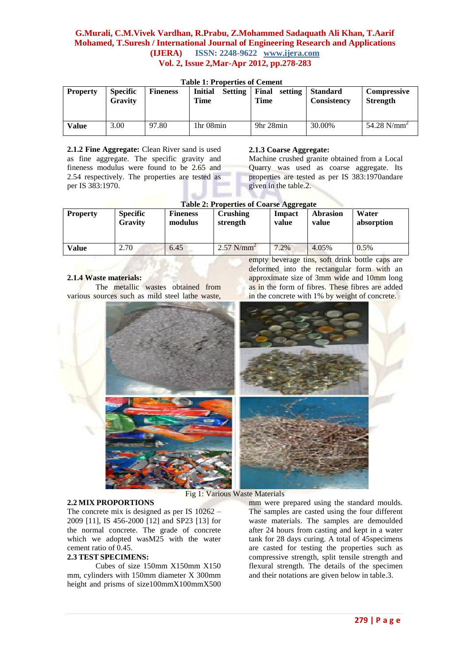| <b>Property</b> | <b>Specific</b><br>Gravity | <b>Fineness</b> | <b>Initial</b><br><b>Setting</b><br>Time | Final<br>setting<br>Time | <b>Standard</b><br><b>Consistency</b> | Compressive<br><b>Strength</b> |
|-----------------|----------------------------|-----------------|------------------------------------------|--------------------------|---------------------------------------|--------------------------------|
| Value           | 3.00                       | 97.80           | 1 <sub>hr</sub> 0 <sub>8</sub> min       | 9hr 28min                | 30.00%                                | 54.28 $N/mm^2$                 |

**Table 1: Properties of Cement**

**2.1.2 Fine Aggregate:** Clean River sand is used as fine aggregate. The specific gravity and fineness modulus were found to be 2.65 and 2.54 respectively. The properties are tested as per IS 383:1970.

#### **2.1.3 Coarse Aggregate:**

Machine crushed granite obtained from a Local Quarry was used as coarse aggregate. Its properties are tested as per IS 383:1970andare given in the table.2.

| <b>Table 2: Properties of Coarse Aggregate</b> |                                   |                            |                          |                 |                          |                     |
|------------------------------------------------|-----------------------------------|----------------------------|--------------------------|-----------------|--------------------------|---------------------|
| <b>Property</b>                                | <b>Specific</b><br><b>Gravity</b> | <b>Fineness</b><br>modulus | Crushing<br>strength     | Impact<br>value | <b>Abrasion</b><br>value | Water<br>absorption |
| Value                                          | 2.70                              | 6.45                       | $2.57$ N/mm <sup>2</sup> | $.2\%$          | 4.05%                    | 0.5%                |

# **2.1.4 Waste materials:**

The metallic wastes obtained from various sources such as mild steel lathe waste,

empty beverage tins, soft drink bottle caps are deformed into the rectangular form with an approximate size of 3mm wide and 10mm long as in the form of fibres. These fibres are added in the concrete with 1% by weight of concrete.

Fig 1: Various Waste Materials

#### **2.2 MIX PROPORTIONS**

The concrete mix is designed as per IS 10262 – 2009 [11], IS 456-2000 [12] and SP23 [13] for the normal concrete. The grade of concrete which we adopted wasM25 with the water cement ratio of 0.45.

#### **2.3 TEST SPECIMENS:**

Cubes of size 150mm X150mm X150 mm, cylinders with 150mm diameter X 300mm height and prisms of size100mmX100mmX500

mm were prepared using the standard moulds. The samples are casted using the four different waste materials. The samples are demoulded after 24 hours from casting and kept in a water tank for 28 days curing. A total of 45specimens are casted for testing the properties such as compressive strength, split tensile strength and flexural strength. The details of the specimen and their notations are given below in table.3.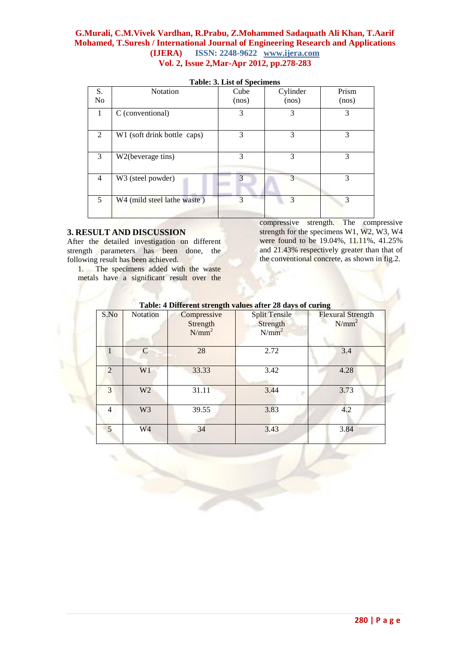|                | rabic, or libr of operations |       |          |       |  |  |
|----------------|------------------------------|-------|----------|-------|--|--|
| S.             | <b>Notation</b>              | Cube  | Cylinder | Prism |  |  |
| N <sub>o</sub> |                              | (nos) | (nos)    | (nos) |  |  |
| 1              | C (conventional)             | 3     | 3        | 3     |  |  |
| 2              | W1 (soft drink bottle caps)  | 3     | 3        | 3     |  |  |
| 3              | W2(beverage tins)            | 3     | 3        | 3     |  |  |
| 4              | W3 (steel powder)            | 3     | 3        | 3     |  |  |
| 5              | W4 (mild steel lathe waste)  | 3     | 3        | 3     |  |  |

#### **Table: 3. List of Specimens**

#### **3. RESULT AND DISCUSSION**

After the detailed investigation on different strength parameters has been done, the following result has been achieved.

1. The specimens added with the waste metals have a significant result over the

compressive strength. The compressive strength for the specimens W1, W2, W3, W4 were found to be 19.04%, 11.11%, 41.25% and 21.43% respectively greater than that of the conventional concrete, as shown in fig.2.

| S.No           | Notation       | Compressive<br>Strength<br>$N/mm^2$ | Table. 4 Different strength values after 20 days of curing<br><b>Split Tensile</b><br>Strength<br>$N/mm^2$ | <b>Flexural Strength</b><br>$N/mm^2$ |
|----------------|----------------|-------------------------------------|------------------------------------------------------------------------------------------------------------|--------------------------------------|
|                | C              | 28                                  | 2.72                                                                                                       | 3.4                                  |
| $\overline{2}$ | W1             | 33.33                               | 3.42                                                                                                       | 4.28                                 |
| 3              | W <sub>2</sub> | 31.11                               | 3.44                                                                                                       | 3.73                                 |
| 4              | W <sub>3</sub> | 39.55                               | 3.83                                                                                                       | 4.2                                  |
| 5              | W4             | 34                                  | 3.43                                                                                                       | 3.84                                 |

**Table: 4 Different strength values after 28 days of curing**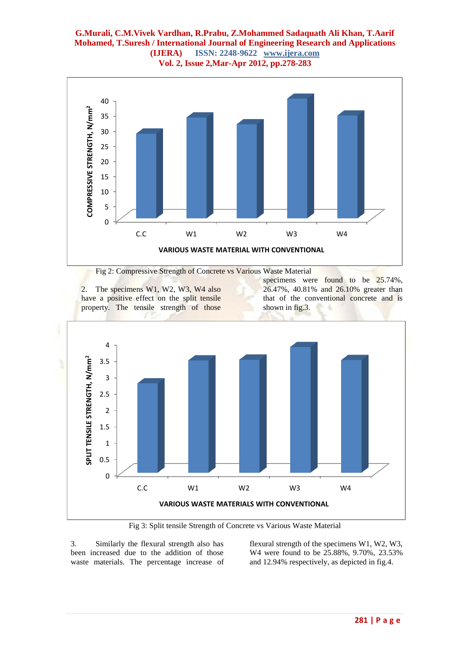

Fig 2: Compressive Strength of Concrete vs Various Waste Material

2. The specimens W1, W2, W3, W4 also have a positive effect on the split tensile property. The tensile strength of those

specimens were found to be 25.74%, 26.47%, 40.81% and 26.10% greater than that of the conventional concrete and is shown in fig.3.



Fig 3: Split tensile Strength of Concrete vs Various Waste Material

3. Similarly the flexural strength also has been increased due to the addition of those waste materials. The percentage increase of flexural strength of the specimens W1, W2, W3, W4 were found to be 25.88%, 9.70%, 23.53% and 12.94% respectively, as depicted in fig.4.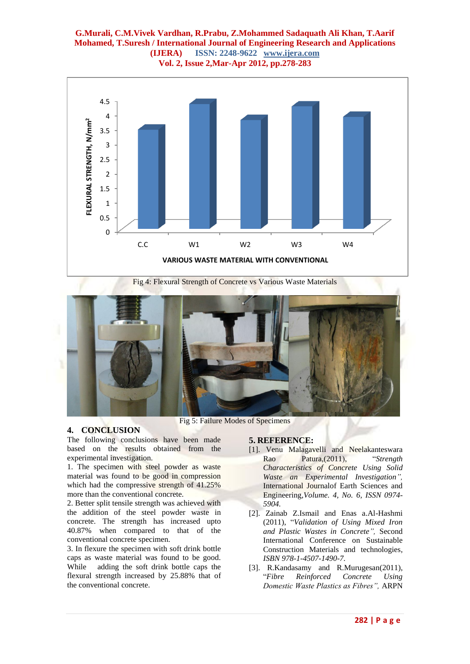

Fig 4: Flexural Strength of Concrete vs Various Waste Materials



# **4. CONCLUSION**

The following conclusions have been made based on the results obtained from the experimental investigation.

1. The specimen with steel powder as waste material was found to be good in compression which had the compressive strength of 41.25% more than the conventional concrete.

2. Better split tensile strength was achieved with the addition of the steel powder waste in concrete. The strength has increased upto 40.87% when compared to that of the conventional concrete specimen.

3. In flexure the specimen with soft drink bottle caps as waste material was found to be good. While adding the soft drink bottle caps the flexural strength increased by 25.88% that of the conventional concrete.

# **5. REFERENCE:**

- [1]. Venu Malagavelli and Neelakanteswara Rao Patura,(2011), "*Strength Characteristics of Concrete Using Solid Waste an Experimental Investigation",*  International Journalof Earth Sciences and Engineering,*Volume. 4, No. 6, ISSN 0974- 5904.*
- [2]. Zainab Z.Ismail and Enas a.Al-Hashmi (2011), "*Validation of Using Mixed Iron and Plastic Wastes in Concrete",* Second International Conference on Sustainable Construction Materials and technologies*, ISBN 978-1-4507-1490-7.*
- [3]. R.Kandasamy and R.Murugesan(2011), "*Fibre Reinforced Concrete Using Domestic Waste Plastics as Fibres",* ARPN